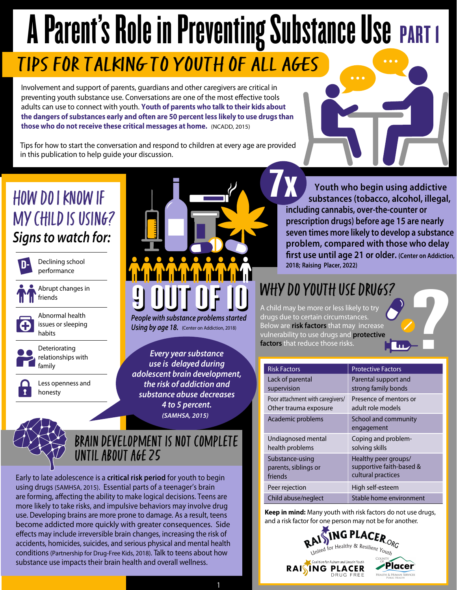# A Parent's Role in Preventing Substance Use PART I TIPS FOR TALKING TO YOUTH OF ALl AGES

Involvement and support of parents, guardians and other caregivers are critical in preventing youth substance use. Conversations are one of the most effective tools adults can use to connect with youth. **Youth of parents who talk to their kids about the dangers of substances early and often are 50 percent less likely to use drugs than those who do not receive these critical messages at home.** (NCADD, 2015)

Tips for how to start the conversation and respond to children at every age are provided in this publication to help guide your discussion. provided<br>**7** 

### How Do I Know if My Child is Using? *Signs to watch for:*



Declining school performance

Abrupt changes in friends



Abnormal health issues or sleeping habits



Deteriorating relationships with family

Less openness and honesty

# **9** OUT OF 10<br>People with substance problems started

**Using by age 18.** (Center on Addiction, 2018)

*Every year substance use is delayed during adolescent brain development, the risk of addiction and substance abuse decreases 4 to 5 percent. (SAMHSA, 2015)* 

#### BRAIN DEVELOPMENT IS NOT COMPLETE until about age 25

Early to late adolescence is a **critical risk period** for youth to begin using drugs (SAMHSA, 2015). Essential parts of a teenager's brain are forming, affecting the ability to make logical decisions. Teens are more likely to take risks, and impulsive behaviors may involve drug use. Developing brains are more prone to damage. As a result, teens become addicted more quickly with greater consequences. Side effects may include irreversible brain changes, increasing the risk of accidents, homicides, suicides, and serious physical and mental health conditions (Partnership for Drug-Free Kids, 2018). Talk to teens about how substance use impacts their brain health and overall wellness.

 **Youth who begin using addictive substances (tobacco, alcohol, illegal, including cannabis, over-the-counter or prescription drugs) before age 15 are nearly seven times more likely to develop a substance problem, compared with those who delay first use until age 21 or older. (Center on Addiction,**  nol, illegal,<br>er or<br>re nearly<br>a substance<br>who delay<br>er on Addiction<br>and Addiction **2018; Raising Placer, 2022)**

## WHY DO YOUTH USE DRUGS?

A child may be more or less likely to try drugs due to certain circumstances. Below are **risk factors** that may increase vulnerability to use drugs and **protective factors** that reduce those risks.

| <b>Risk Factors</b>              | <b>Protective Factors</b>          |
|----------------------------------|------------------------------------|
| Lack of parental                 | Parental support and               |
| supervision                      | strong family bonds                |
| Poor attachment with caregivers/ | Presence of mentors or             |
| Other trauma exposure            | adult role models                  |
| Academic problems                | School and community<br>engagement |
| Undiagnosed mental               | Coping and problem-                |
| health problems                  | solving skills                     |
| Substance-using                  | Healthy peer groups/               |
| parents, siblings or             | supportive faith-based &           |
| friends                          | cultural practices                 |
| Peer rejection                   | High self-esteem                   |
| Child abuse/neglect              | Stable home environment            |

**Keep in mind:** Many youth with risk factors do not use drugs, and a risk factor for one person may not be for another.